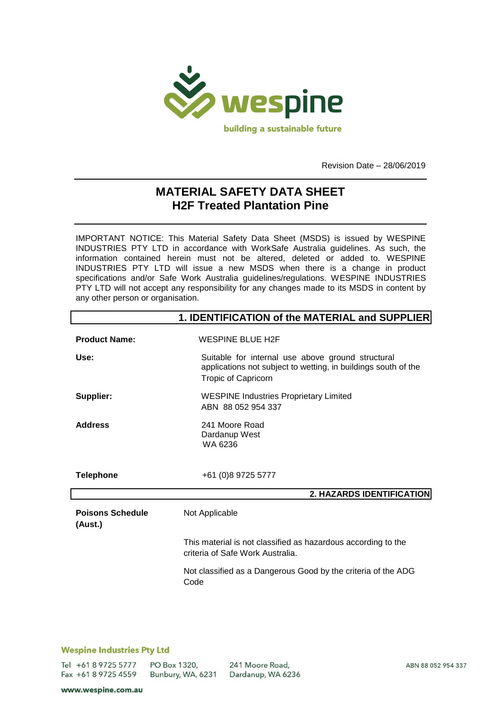

Revision Date – 28/06/2019

# **MATERIAL SAFETY DATA SHEET H2F Treated Plantation Pine**

IMPORTANT NOTICE: This Material Safety Data Sheet (MSDS) is issued by WESPINE INDUSTRIES PTY LTD in accordance with WorkSafe Australia guidelines. As such, the information contained herein must not be altered, deleted or added to. WESPINE INDUSTRIES PTY LTD will issue a new MSDS when there is a change in product specifications and/or Safe Work Australia guidelines/regulations. WESPINE INDUSTRIES PTY LTD will not accept any responsibility for any changes made to its MSDS in content by any other person or organisation.

|                                    | 1. IDENTIFICATION of the MATERIAL and SUPPLIER                                                                                                    |
|------------------------------------|---------------------------------------------------------------------------------------------------------------------------------------------------|
| <b>Product Name:</b>               | <b>WESPINE BLUE H2F</b>                                                                                                                           |
| Use:                               | Suitable for internal use above ground structural<br>applications not subject to wetting, in buildings south of the<br><b>Tropic of Capricorn</b> |
| Supplier:                          | <b>WESPINE Industries Proprietary Limited</b><br>ABN 88 052 954 337                                                                               |
| <b>Address</b>                     | 241 Moore Road<br>Dardanup West<br>WA 6236                                                                                                        |
| <b>Telephone</b>                   | +61 (0)8 9725 5777                                                                                                                                |
|                                    | 2. HAZARDS IDENTIFICATION                                                                                                                         |
| <b>Poisons Schedule</b><br>(Aust.) | Not Applicable                                                                                                                                    |
|                                    | This material is not classified as hazardous according to the<br>criteria of Safe Work Australia.                                                 |
|                                    | Not classified as a Dangerous Good by the criteria of the ADG<br>Code                                                                             |
|                                    |                                                                                                                                                   |

## **Wespine Industries Pty Ltd**

Tel +61 8 9725 5777 Fax +61 8 9725 4559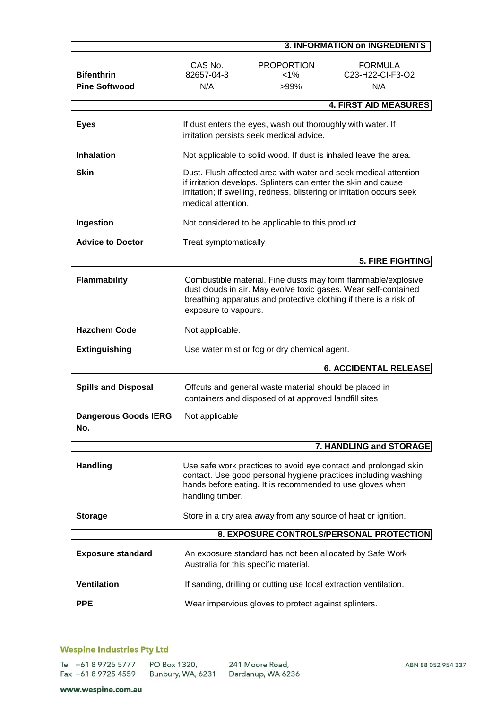|                                           |                                                                                                                                                                                                                                   |                                                                                                                 | <b>3. INFORMATION on INGREDIENTS</b>                                                                                                                                                                  |
|-------------------------------------------|-----------------------------------------------------------------------------------------------------------------------------------------------------------------------------------------------------------------------------------|-----------------------------------------------------------------------------------------------------------------|-------------------------------------------------------------------------------------------------------------------------------------------------------------------------------------------------------|
| <b>Bifenthrin</b><br><b>Pine Softwood</b> | CAS No.<br>82657-04-3<br>N/A                                                                                                                                                                                                      | <b>PROPORTION</b><br>$< 1\%$<br>>99%                                                                            | <b>FORMULA</b><br>C23-H22-CI-F3-O2<br>N/A                                                                                                                                                             |
|                                           |                                                                                                                                                                                                                                   |                                                                                                                 | <b>4. FIRST AID MEASURES</b>                                                                                                                                                                          |
| <b>Eyes</b>                               |                                                                                                                                                                                                                                   | If dust enters the eyes, wash out thoroughly with water. If<br>irritation persists seek medical advice.         |                                                                                                                                                                                                       |
| <b>Inhalation</b>                         | Not applicable to solid wood. If dust is inhaled leave the area.                                                                                                                                                                  |                                                                                                                 |                                                                                                                                                                                                       |
| <b>Skin</b>                               | Dust. Flush affected area with water and seek medical attention<br>if irritation develops. Splinters can enter the skin and cause<br>irritation; if swelling, redness, blistering or irritation occurs seek<br>medical attention. |                                                                                                                 |                                                                                                                                                                                                       |
| Ingestion                                 | Not considered to be applicable to this product.                                                                                                                                                                                  |                                                                                                                 |                                                                                                                                                                                                       |
| <b>Advice to Doctor</b>                   | Treat symptomatically                                                                                                                                                                                                             |                                                                                                                 |                                                                                                                                                                                                       |
|                                           |                                                                                                                                                                                                                                   |                                                                                                                 | 5. FIRE FIGHTING                                                                                                                                                                                      |
| <b>Flammability</b>                       | exposure to vapours.                                                                                                                                                                                                              |                                                                                                                 | Combustible material. Fine dusts may form flammable/explosive<br>dust clouds in air. May evolve toxic gases. Wear self-contained<br>breathing apparatus and protective clothing if there is a risk of |
| <b>Hazchem Code</b>                       | Not applicable.                                                                                                                                                                                                                   |                                                                                                                 |                                                                                                                                                                                                       |
| <b>Extinguishing</b>                      | Use water mist or fog or dry chemical agent.                                                                                                                                                                                      |                                                                                                                 |                                                                                                                                                                                                       |
|                                           |                                                                                                                                                                                                                                   |                                                                                                                 | <b>6. ACCIDENTAL RELEASE</b>                                                                                                                                                                          |
| <b>Spills and Disposal</b>                |                                                                                                                                                                                                                                   | Offcuts and general waste material should be placed in<br>containers and disposed of at approved landfill sites |                                                                                                                                                                                                       |
| <b>Dangerous Goods IERG</b><br>No.        | Not applicable                                                                                                                                                                                                                    |                                                                                                                 |                                                                                                                                                                                                       |
|                                           |                                                                                                                                                                                                                                   |                                                                                                                 |                                                                                                                                                                                                       |
|                                           |                                                                                                                                                                                                                                   |                                                                                                                 | 7. HANDLING and STORAGE                                                                                                                                                                               |
| <b>Handling</b>                           | handling timber.                                                                                                                                                                                                                  | hands before eating. It is recommended to use gloves when                                                       | Use safe work practices to avoid eye contact and prolonged skin<br>contact. Use good personal hygiene practices including washing                                                                     |
| <b>Storage</b>                            |                                                                                                                                                                                                                                   | Store in a dry area away from any source of heat or ignition.                                                   |                                                                                                                                                                                                       |
|                                           |                                                                                                                                                                                                                                   |                                                                                                                 | 8. EXPOSURE CONTROLS/PERSONAL PROTECTION                                                                                                                                                              |
| <b>Exposure standard</b>                  |                                                                                                                                                                                                                                   | An exposure standard has not been allocated by Safe Work<br>Australia for this specific material.               |                                                                                                                                                                                                       |
| <b>Ventilation</b>                        |                                                                                                                                                                                                                                   | If sanding, drilling or cutting use local extraction ventilation.                                               |                                                                                                                                                                                                       |
| <b>PPE</b>                                |                                                                                                                                                                                                                                   | Wear impervious gloves to protect against splinters.                                                            |                                                                                                                                                                                                       |

# **Wespine Industries Pty Ltd**

Tel +61 8 9725 5777 PO Box 1320, Bunbury, WA, 6231 Dardanup, WA 6236 Fax +61 8 9725 4559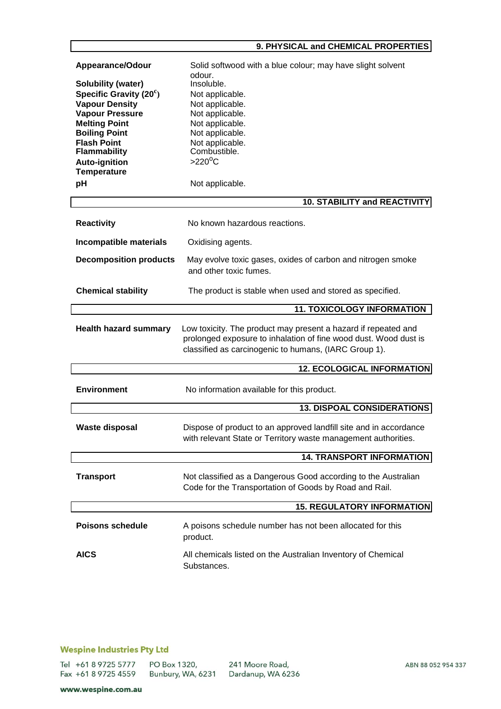## 9. PHYSICAL and CHEMICAL PROPERTIES

| Appearance/Odour<br><b>Solubility (water)</b><br>Specific Gravity $(20^c)$<br><b>Vapour Density</b><br><b>Vapour Pressure</b><br><b>Melting Point</b><br><b>Boiling Point</b><br><b>Flash Point</b><br><b>Flammability</b><br><b>Auto-ignition</b><br>Temperature<br>pH | Solid softwood with a blue colour; may have slight solvent<br>odour.<br>Insoluble.<br>Not applicable.<br>Not applicable.<br>Not applicable.<br>Not applicable.<br>Not applicable.<br>Not applicable.<br>Combustible.<br>$>220^{\circ}$ C<br>Not applicable.<br><b>10. STABILITY and REACTIVITY</b> |
|-------------------------------------------------------------------------------------------------------------------------------------------------------------------------------------------------------------------------------------------------------------------------|----------------------------------------------------------------------------------------------------------------------------------------------------------------------------------------------------------------------------------------------------------------------------------------------------|
|                                                                                                                                                                                                                                                                         | No known hazardous reactions.                                                                                                                                                                                                                                                                      |
| <b>Reactivity</b>                                                                                                                                                                                                                                                       |                                                                                                                                                                                                                                                                                                    |
| Incompatible materials                                                                                                                                                                                                                                                  | Oxidising agents.                                                                                                                                                                                                                                                                                  |
| <b>Decomposition products</b>                                                                                                                                                                                                                                           | May evolve toxic gases, oxides of carbon and nitrogen smoke<br>and other toxic fumes.                                                                                                                                                                                                              |
| <b>Chemical stability</b>                                                                                                                                                                                                                                               | The product is stable when used and stored as specified.                                                                                                                                                                                                                                           |
|                                                                                                                                                                                                                                                                         | <b>11. TOXICOLOGY INFORMATION</b>                                                                                                                                                                                                                                                                  |
| <b>Health hazard summary</b>                                                                                                                                                                                                                                            | Low toxicity. The product may present a hazard if repeated and<br>prolonged exposure to inhalation of fine wood dust. Wood dust is<br>classified as carcinogenic to humans, (IARC Group 1).                                                                                                        |
|                                                                                                                                                                                                                                                                         | <b>12. ECOLOGICAL INFORMATION</b>                                                                                                                                                                                                                                                                  |
| <b>Environment</b>                                                                                                                                                                                                                                                      | No information available for this product.                                                                                                                                                                                                                                                         |
|                                                                                                                                                                                                                                                                         | <b>13. DISPOAL CONSIDERATIONS</b>                                                                                                                                                                                                                                                                  |
| <b>Waste disposal</b>                                                                                                                                                                                                                                                   | Dispose of product to an approved landfill site and in accordance<br>with relevant State or Territory waste management authorities.                                                                                                                                                                |
|                                                                                                                                                                                                                                                                         | <b>14. TRANSPORT INFORMATION</b>                                                                                                                                                                                                                                                                   |
| <b>Transport</b>                                                                                                                                                                                                                                                        | Not classified as a Dangerous Good according to the Australian<br>Code for the Transportation of Goods by Road and Rail.                                                                                                                                                                           |
|                                                                                                                                                                                                                                                                         | <b>15. REGULATORY INFORMATION</b>                                                                                                                                                                                                                                                                  |
| <b>Poisons schedule</b>                                                                                                                                                                                                                                                 | A poisons schedule number has not been allocated for this<br>product.                                                                                                                                                                                                                              |
| <b>AICS</b>                                                                                                                                                                                                                                                             | All chemicals listed on the Australian Inventory of Chemical<br>Substances.                                                                                                                                                                                                                        |

# **Wespine Industries Pty Ltd**

Tel +61 8 9725 5777 PO Box 1320, Fax +61 8 9725 4559